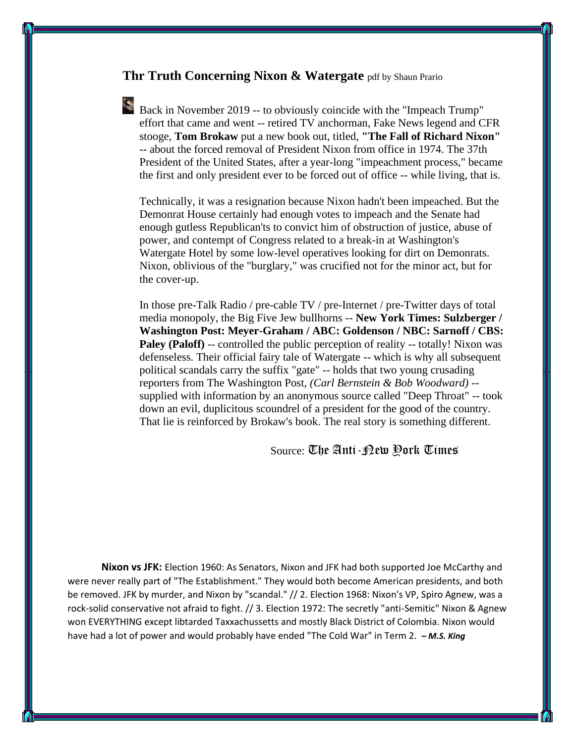## **Thr Truth Concerning Nixon & Watergate** pdf by Shaun Prario

Back in November 2019 -- to obviously coincide with the "Impeach Trump" effort that came and went -- retired TV anchorman, Fake News legend and CFR stooge, **Tom Brokaw** put a new book out, titled, **"The Fall of Richard Nixon"** -- about the forced removal of President Nixon from office in 1974. The 37th President of the United States, after a year-long "impeachment process," became the first and only president ever to be forced out of office -- while living, that is.

Technically, it was a resignation because Nixon hadn't been impeached. But the Demonrat House certainly had enough votes to impeach and the Senate had enough gutless Republican'ts to convict him of obstruction of justice, abuse of power, and contempt of Congress related to a break-in at Washington's Watergate Hotel by some low-level operatives looking for dirt on Demonrats. Nixon, oblivious of the "burglary," was crucified not for the minor act, but for the cover-up.

In those pre-Talk Radio / pre-cable TV / pre-Internet / pre-Twitter days of total media monopoly, the Big Five Jew bullhorns -- **New York Times: Sulzberger / Washington Post: Meyer-Graham / ABC: Goldenson / NBC: Sarnoff / CBS: Paley (Paloff)** -- controlled the public perception of reality -- totally! Nixon was defenseless. Their official fairy tale of Watergate -- which is why all subsequent political scandals carry the suffix "gate" -- holds that two young crusading reporters from The Washington Post, *(Carl Bernstein & Bob Woodward)* - supplied with information by an anonymous source called "Deep Throat" -- took down an evil, duplicitous scoundrel of a president for the good of the country. That lie is reinforced by Brokaw's book. The real story is something different.

## Source: The Anti-New York Times

**Nixon vs JFK:** Election 1960: As Senators, Nixon and JFK had both supported Joe McCarthy and were never really part of "The Establishment." They would both become American presidents, and both be removed. JFK by murder, and Nixon by "scandal." // 2. Election 1968: Nixon's VP, Spiro Agnew, was a rock-solid conservative not afraid to fight. // 3. Election 1972: The secretly "anti-Semitic" Nixon & Agnew won EVERYTHING except libtarded Taxxachussetts and mostly Black District of Colombia. Nixon would have had a lot of power and would probably have ended "The Cold War" in Term 2. *– M.S. King*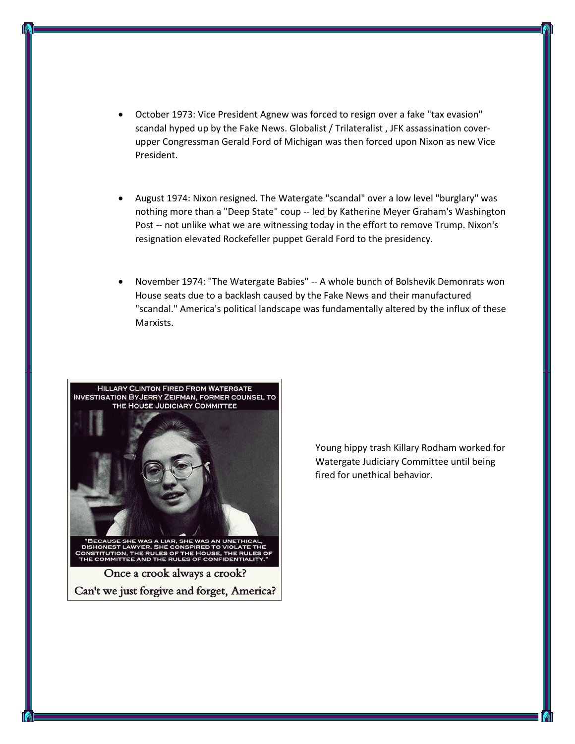- October 1973: Vice President Agnew was forced to resign over a fake "tax evasion" scandal hyped up by the Fake News. Globalist / Trilateralist , JFK assassination coverupper Congressman Gerald Ford of Michigan was then forced upon Nixon as new Vice President.
- August 1974: Nixon resigned. The Watergate "scandal" over a low level "burglary" was nothing more than a "Deep State" coup -- led by Katherine Meyer Graham's Washington Post -- not unlike what we are witnessing today in the effort to remove Trump. Nixon's resignation elevated Rockefeller puppet Gerald Ford to the presidency.
- November 1974: "The Watergate Babies" -- A whole bunch of Bolshevik Demonrats won House seats due to a backlash caused by the Fake News and their manufactured "scandal." America's political landscape was fundamentally altered by the influx of these Marxists.



Young hippy trash Killary Rodham worked for Watergate Judiciary Committee until being fired for unethical behavior.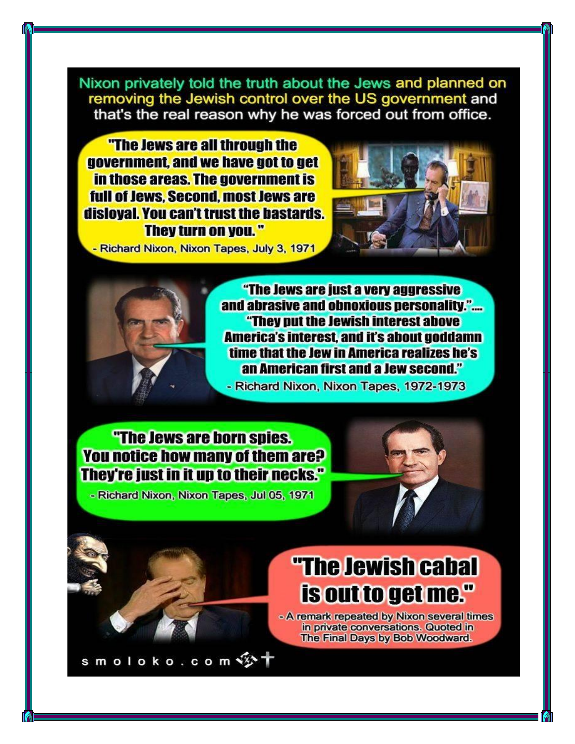Nixon privately told the truth about the Jews and planned on removing the Jewish control over the US government and that's the real reason why he was forced out from office.

"The Jews are all through the government, and we have got to get in those areas. The government is full of Jews. Second. most Jews are disloval. You can't trust the bastards. They turn on you."



- Richard Nixon, Nixon Tapes, July 3, 1971

"The Jews are just a very aggressive and abrasive and obnoxious personality.".... "They put the Jewish interest above **America's interest, and it's about goddamn** time that the Jew in America realizes he's an American first and a Jew second."

- Richard Nixon, Nixon Tapes, 1972-1973

## "The Jews are born spies. You notice how many of them are? **They're just in it up to their necks."**

- Richard Nixon, Nixon Tapes, Jul 05, 1971

smoloko.com

## "The Jewish cabal is out to get me."

- A remark repeated by Nixon several times in private conversations. Quoted in The Final Days by Bob Woodward.